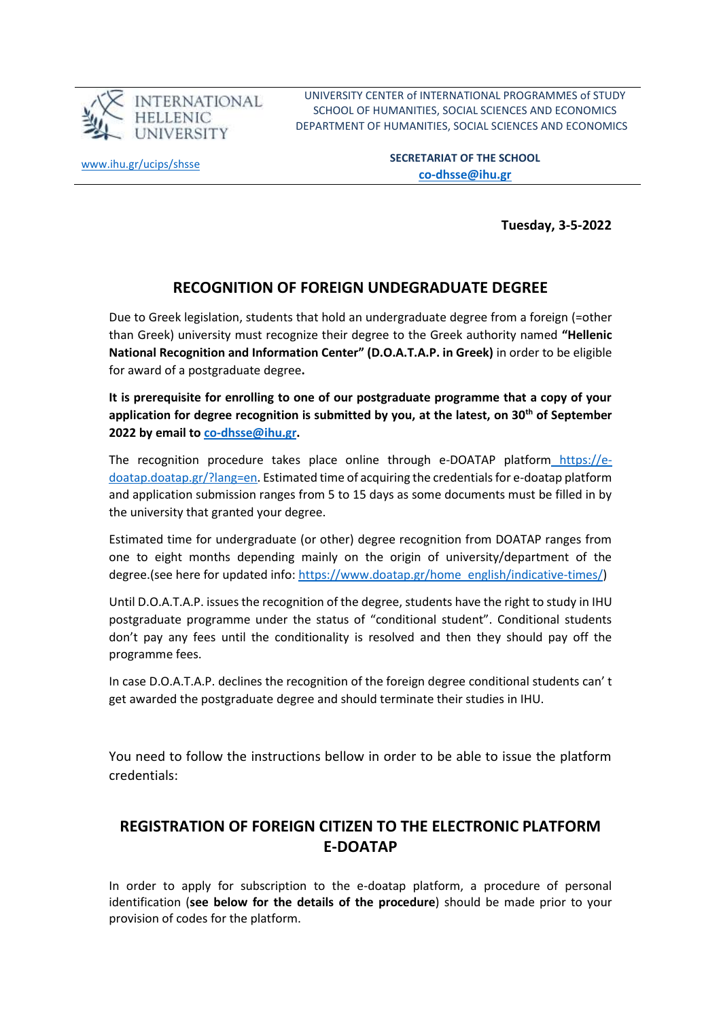

UNIVERSITY CENTER of INTERNATIONAL PROGRAMMES of STUDY SCHOOL OF HUMANITIES, SOCIAL SCIENCES AND ECONOMICS DEPARTMENT OF HUMANITIES, SOCIAL SCIENCES AND ECONOMICS

[www.ihu.gr/ucips/shsse](http://www.ihu.gr/ucips/shsse)

**SECRETARIAT OF THE SCHOOL [co-dhsse@ihu.gr](mailto:co-dhsse@ihu.gr)**

**Tuesday, 3-5-2022**

## **RECOGNITION OF FOREIGN UNDEGRADUATE DEGREE**

Due to Greek legislation, students that hold an undergraduate degree from a foreign (=other than Greek) university must recognize their degree to the Greek authority named **"Hellenic National Recognition and Information Center" (D.O.A.T.A.P. in Greek)** in order to be eligible for award of a postgraduate degree**.** 

**It is prerequisite for enrolling to one of our postgraduate programme that a copy of your application for degree recognition is submitted by you, at the latest, on 30th of September 2022 by email to [co-dhsse@ihu.gr.](mailto:co-dhsse@ihu.gr)**

The recognition procedure takes place online through e-DOATAP platform [https://e](https://e-doatap.doatap.gr/?lang=en)[doatap.doatap.gr/?lang=en.](https://e-doatap.doatap.gr/?lang=en) Estimated time of acquiring the credentials for e-doatap platform and application submission ranges from 5 to 15 days as some documents must be filled in by the university that granted your degree.

Estimated time for undergraduate (or other) degree recognition from DOATAP ranges from one to eight months depending mainly on the origin of university/department of the degree.(see here for updated info: [https://www.doatap.gr/home\\_english/indicative-times/\)](https://www.doatap.gr/home_english/indicative-times/)

Until D.O.A.T.A.P. issues the recognition of the degree, students have the right to study in IHU postgraduate programme under the status of "conditional student". Conditional students don't pay any fees until the conditionality is resolved and then they should pay off the programme fees.

In case D.O.A.T.A.P. declines the recognition of the foreign degree conditional students can' t get awarded the postgraduate degree and should terminate their studies in IHU.

You need to follow the instructions bellow in order to be able to issue the platform credentials:

## **REGISTRATION OF FOREIGN CITIZEN TO THE ELECTRONIC PLATFORM E-DOATAP**

In order to apply for subscription to the e-doatap platform, a procedure of personal identification (**see below for the details of the procedure**) should be made prior to your provision of codes for the platform.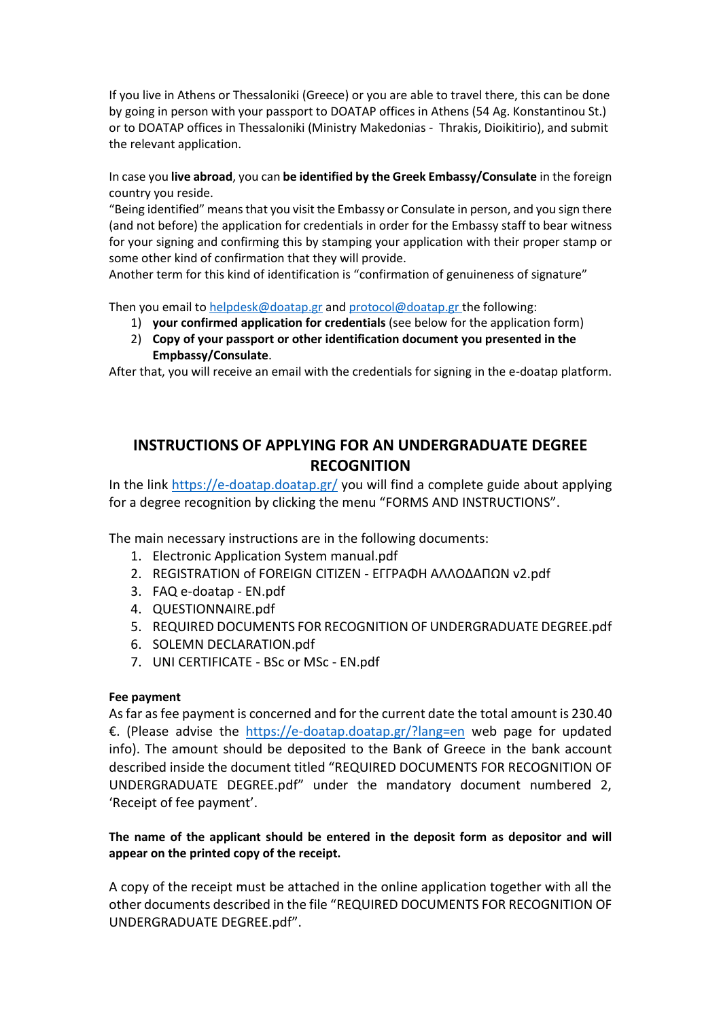If you live in Athens or Thessaloniki (Greece) or you are able to travel there, this can be done by going in person with your passport to DOATAP offices in Athens (54 Ag. Konstantinou St.) or to DOATAP offices in Thessaloniki (Ministry Makedonias - Thrakis, Dioikitirio), and submit the relevant application.

In case you **live abroad**, you can **be identified by the Greek Embassy/Consulate** in the foreign country you reside.

"Being identified" means that you visit the Embassy or Consulate in person, and you sign there (and not before) the application for credentials in order for the Embassy staff to bear witness for your signing and confirming this by stamping your application with their proper stamp or some other kind of confirmation that they will provide.

Another term for this kind of identification is "confirmation of genuineness of signature"

Then you email to [helpdesk@doatap.gr](mailto:helpdesk@doatap.gr) and [protocol@doatap.gr](mailto:protocol@doatap.gr) the following:

- 1) **your confirmed application for credentials** (see below for the application form)
- 2) **Copy of your passport or other identification document you presented in the Empbassy/Consulate**.

After that, you will receive an email with the credentials for signing in the e-doatap platform.

## **INSTRUCTIONS OF APPLYING FOR AN UNDERGRADUATE DEGREE RECOGNITION**

In the link<https://e-doatap.doatap.gr/> you will find a complete guide about applying for a degree recognition by clicking the menu "FORMS AND INSTRUCTIONS".

The main necessary instructions are in the following documents:

- 1. Electronic Application System manual.pdf
- 2. REGISTRATION of FOREIGN CITIZEN ΕΓΓΡΑΦΗ ΑΛΛΟΔΑΠΩΝ v2.pdf
- 3. FAQ e-doatap EN.pdf
- 4. QUESTIONNAIRE.pdf
- 5. REQUIRED DOCUMENTS FOR RECOGNITION OF UNDERGRADUATE DEGREE.pdf
- 6. SOLEMN DECLARATION.pdf
- 7. UNI CERTIFICATE BSc or MSc EN.pdf

#### **Fee payment**

As far as fee payment is concerned and for the current date the total amount is 230.40 €. (Please advise the <https://e-doatap.doatap.gr/?lang=en> web page for updated info). The amount should be deposited to the Bank of Greece in the bank account described inside the document titled "REQUIRED DOCUMENTS FOR RECOGNITION OF UNDERGRADUATE DEGREE.pdf" under the mandatory document numbered 2, 'Receipt of fee payment'.

#### **The name of the applicant should be entered in the deposit form as depositor and will appear on the printed copy of the receipt.**

A copy of the receipt must be attached in the online application together with all the other documents described in the file "REQUIRED DOCUMENTS FOR RECOGNITION OF UNDERGRADUATE DEGREE.pdf".